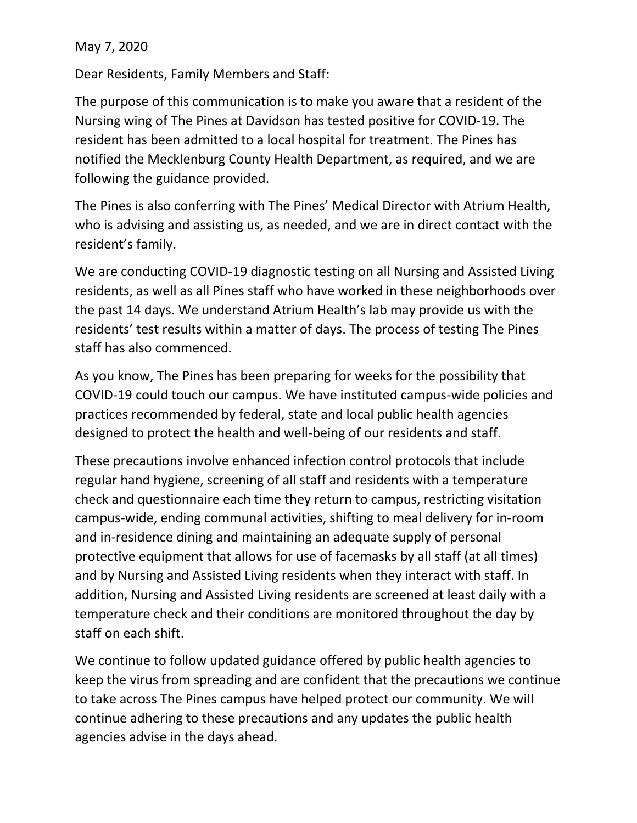May 7, 2020

Dear Residents, Family Members and Staff:

The purpose of this communication is to make you aware that a resident of the Nursing wing of The Pines at Davidson has tested positive for COVID-19. The resident has been admitted to a local hospital for treatment. The Pines has notified the Mecklenburg County Health Department, as required, and we are following the guidance provided.

The Pines is also conferring with The Pines' Medical Director with Atrium Health, who is advising and assisting us, as needed, and we are in direct contact with the resident's family.

We are conducting COVID-19 diagnostic testing on all Nursing and Assisted Living residents, as well as all Pines staff who have worked in these neighborhoods over the past 14 days. We understand Atrium Health's lab may provide us with the residents' test results within a matter of days. The process of testing The Pines staff has also commenced.

As you know, The Pines has been preparing for weeks for the possibility that COVID-19 could touch our campus. We have instituted campus-wide policies and practices recommended by federal, state and local public health agencies designed to protect the health and well-being of our residents and staff.

These precautions involve enhanced infection control protocols that include regular hand hygiene, screening of all staff and residents with a temperature check and questionnaire each time they return to campus, restricting visitation campus-wide, ending communal activities, shifting to meal delivery for in-room and in-residence dining and maintaining an adequate supply of personal protective equipment that allows for use of facemasks by all staff (at all times) and by Nursing and Assisted Living residents when they interact with staff. In addition, Nursing and Assisted Living residents are screened at least daily with a temperature check and their conditions are monitored throughout the day by staff on each shift.

We continue to follow updated guidance offered by public health agencies to keep the virus from spreading and are confident that the precautions we continue to take across The Pines campus have helped protect our community. We will continue adhering to these precautions and any updates the public health agencies advise in the days ahead.